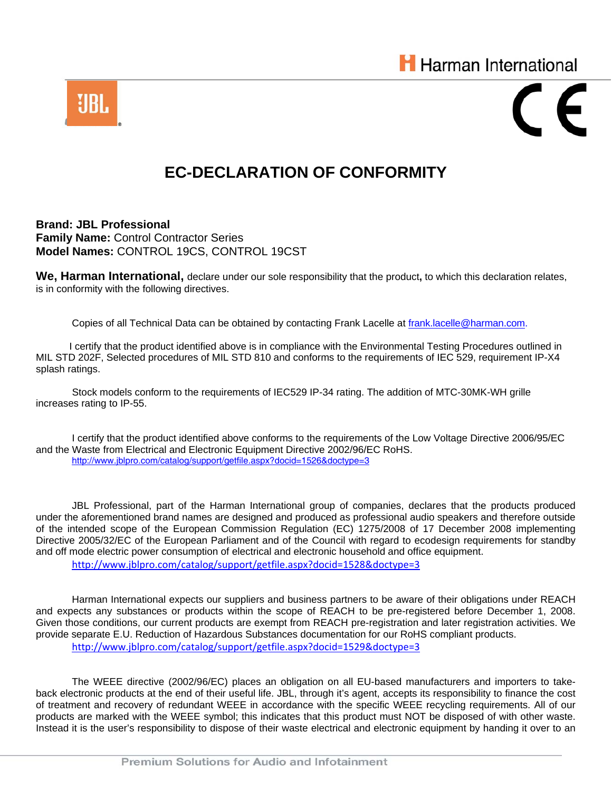



## **EC-DECLARATION OF CONFORMITY**

**Brand: JBL Professional Family Name:** Control Contractor Series **Model Names:** CONTROL 19CS, CONTROL 19CST

**We, Harman International,** declare under our sole responsibility that the product**,** to which this declaration relates, is in conformity with the following directives.

Copies of all Technical Data can be obtained by contacting Frank Lacelle at frank.lacelle@harman.com.

 I certify that the product identified above is in compliance with the Environmental Testing Procedures outlined in MIL STD 202F, Selected procedures of MIL STD 810 and conforms to the requirements of IEC 529, requirement IP-X4 splash ratings.

 Stock models conform to the requirements of IEC529 IP-34 rating. The addition of MTC-30MK-WH grille increases rating to IP-55.

 I certify that the product identified above conforms to the requirements of the Low Voltage Directive 2006/95/EC and the Waste from Electrical and Electronic Equipment Directive 2002/96/EC RoHS. http://www.jblpro.com/catalog/support/getfile.aspx?docid=1526&doctype=3

JBL Professional, part of the Harman International group of companies, declares that the products produced under the aforementioned brand names are designed and produced as professional audio speakers and therefore outside of the intended scope of the European Commission Regulation (EC) 1275/2008 of 17 December 2008 implementing Directive 2005/32/EC of the European Parliament and of the Council with regard to ecodesign requirements for standby and off mode electric power consumption of electrical and electronic household and office equipment. http://www.jblpro.com/catalog/support/getfile.aspx?docid=1528&doctype=3

Harman International expects our suppliers and business partners to be aware of their obligations under REACH and expects any substances or products within the scope of REACH to be pre-registered before December 1, 2008. Given those conditions, our current products are exempt from REACH pre-registration and later registration activities. We provide separate E.U. Reduction of Hazardous Substances documentation for our RoHS compliant products.

http://www.jblpro.com/catalog/support/getfile.aspx?docid=1529&doctype=3

The WEEE directive (2002/96/EC) places an obligation on all EU-based manufacturers and importers to takeback electronic products at the end of their useful life. JBL, through it's agent, accepts its responsibility to finance the cost of treatment and recovery of redundant WEEE in accordance with the specific WEEE recycling requirements. All of our products are marked with the WEEE symbol; this indicates that this product must NOT be disposed of with other waste. Instead it is the user's responsibility to dispose of their waste electrical and electronic equipment by handing it over to an